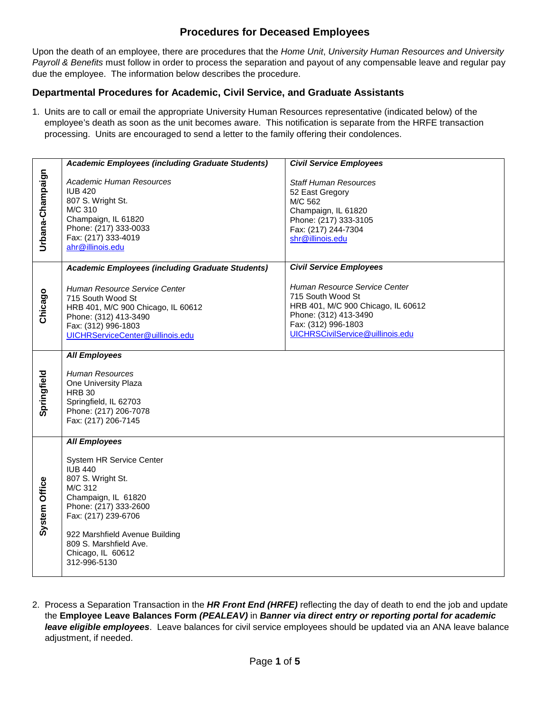# **Procedures for Deceased Employees**

Upon the death of an employee, there are procedures that the *Home Unit*, *University Human Resources and University Payroll & Benefits* must follow in order to process the separation and payout of any compensable leave and regular pay due the employee. The information below describes the procedure.

#### **Departmental Procedures for Academic, Civil Service, and Graduate Assistants**

1. Units are to call or email the appropriate University Human Resources representative (indicated below) of the employee's death as soon as the unit becomes aware. This notification is separate from the HRFE transaction processing. Units are encouraged to send a letter to the family offering their condolences.

|                  | <b>Academic Employees (including Graduate Students)</b>                                                                                                                                                                                            | <b>Civil Service Employees</b>                                                                                                                                               |
|------------------|----------------------------------------------------------------------------------------------------------------------------------------------------------------------------------------------------------------------------------------------------|------------------------------------------------------------------------------------------------------------------------------------------------------------------------------|
| Urbana-Champaign | Academic Human Resources<br><b>IUB 420</b><br>807 S. Wright St.<br>M/C 310<br>Champaign, IL 61820<br>Phone: (217) 333-0033<br>Fax: (217) 333-4019<br>ahr@illinois.edu                                                                              | <b>Staff Human Resources</b><br>52 East Gregory<br>M/C 562<br>Champaign, IL 61820<br>Phone: (217) 333-3105<br>Fax: (217) 244-7304<br>shr@illinois.edu                        |
|                  | <b>Academic Employees (including Graduate Students)</b>                                                                                                                                                                                            | <b>Civil Service Employees</b>                                                                                                                                               |
| Chicago          | Human Resource Service Center<br>715 South Wood St<br>HRB 401, M/C 900 Chicago, IL 60612<br>Phone: (312) 413-3490<br>Fax: (312) 996-1803<br>UICHRServiceCenter@uillinois.edu                                                                       | Human Resource Service Center<br>715 South Wood St<br>HRB 401, M/C 900 Chicago, IL 60612<br>Phone: (312) 413-3490<br>Fax: (312) 996-1803<br>UICHRSCivilService@uillinois.edu |
|                  | <b>All Employees</b>                                                                                                                                                                                                                               |                                                                                                                                                                              |
| Springfield      | <b>Human Resources</b><br>One University Plaza<br><b>HRB 30</b><br>Springfield, IL 62703<br>Phone: (217) 206-7078<br>Fax: (217) 206-7145                                                                                                           |                                                                                                                                                                              |
|                  | <b>All Employees</b>                                                                                                                                                                                                                               |                                                                                                                                                                              |
| System Office    | System HR Service Center<br><b>IUB 440</b><br>807 S. Wright St.<br>M/C 312<br>Champaign, IL 61820<br>Phone: (217) 333-2600<br>Fax: (217) 239-6706<br>922 Marshfield Avenue Building<br>809 S. Marshfield Ave.<br>Chicago, IL 60612<br>312-996-5130 |                                                                                                                                                                              |

2. Process a Separation Transaction in the *HR Front End (HRFE)* reflecting the day of death to end the job and update the **Employee Leave Balances Form** *(PEALEAV)* in *Banner via direct entry or reporting portal for academic leave eligible employees*. Leave balances for civil service employees should be updated via an ANA leave balance adjustment, if needed.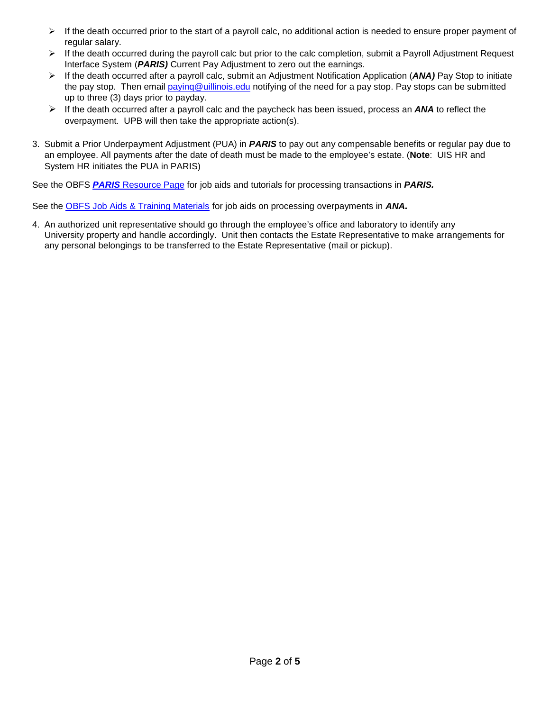- $\triangleright$  If the death occurred prior to the start of a payroll calc, no additional action is needed to ensure proper payment of regular salary.
- $\triangleright$  If the death occurred during the payroll calc but prior to the calc completion, submit a Payroll Adjustment Request Interface System (*PARIS)* Current Pay Adjustment to zero out the earnings.
- If the death occurred after a payroll calc, submit an Adjustment Notification Application (*ANA)* Pay Stop to initiate the pay stop. Then email [payinq@uillinois.edu](mailto:payinq@uillinois.edu) notifying of the need for a pay stop. Pay stops can be submitted up to three (3) days prior to payday.
- If the death occurred after a payroll calc and the paycheck has been issued, process an **ANA** to reflect the overpayment. UPB will then take the appropriate action(s).
- 3. Submit a Prior Underpayment Adjustment (PUA) in *PARIS* to pay out any compensable benefits or regular pay due to an employee. All payments after the date of death must be made to the employee's estate. (**Note**: UIS HR and System HR initiates the PUA in PARIS)

See the OBFS *PARIS* [Resource Page](https://www.obfs.uillinois.edu/paris-resources/) for job aids and tutorials for processing transactions in *PARIS.*

See the [OBFS Job Aids & Training Materials](https://www.obfs.uillinois.edu/cms/One.aspx?portalId=77176&pageId=91721#overpayments) for job aids on processing overpayments in *ANA.*

4. An authorized unit representative should go through the employee's office and laboratory to identify any University property and handle accordingly. Unit then contacts the Estate Representative to make arrangements for any personal belongings to be transferred to the Estate Representative (mail or pickup).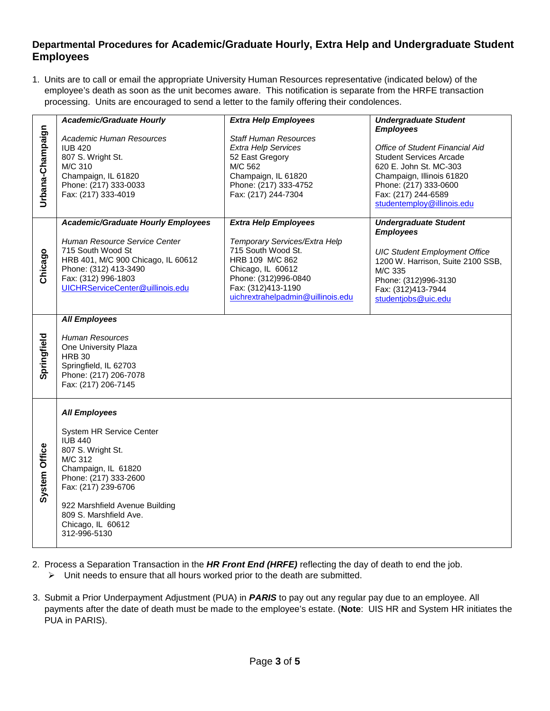### **Departmental Procedures for Academic/Graduate Hourly, Extra Help and Undergraduate Student Employees**

1. Units are to call or email the appropriate University Human Resources representative (indicated below) of the employee's death as soon as the unit becomes aware. This notification is separate from the HRFE transaction processing. Units are encouraged to send a letter to the family offering their condolences.

|                  | <b>Academic/Graduate Hourly</b>                                                                                                                                              | <b>Extra Help Employees</b>                                                                                                                                                    | <b>Undergraduate Student</b>                                                                                                                                                                                               |  |  |
|------------------|------------------------------------------------------------------------------------------------------------------------------------------------------------------------------|--------------------------------------------------------------------------------------------------------------------------------------------------------------------------------|----------------------------------------------------------------------------------------------------------------------------------------------------------------------------------------------------------------------------|--|--|
| Urbana-Champaign | Academic Human Resources<br><b>IUB 420</b><br>807 S. Wright St.<br>M/C 310<br>Champaign, IL 61820<br>Phone: (217) 333-0033<br>Fax: (217) 333-4019                            | <b>Staff Human Resources</b><br>Extra Help Services<br>52 East Gregory<br>M/C 562<br>Champaign, IL 61820<br>Phone: (217) 333-4752<br>Fax: (217) 244-7304                       | <b>Employees</b><br>Office of Student Financial Aid<br><b>Student Services Arcade</b><br>620 E. John St. MC-303<br>Champaign, Illinois 61820<br>Phone: (217) 333-0600<br>Fax: (217) 244-6589<br>studentemploy@illinois.edu |  |  |
|                  | <b>Academic/Graduate Hourly Employees</b>                                                                                                                                    | <b>Extra Help Employees</b>                                                                                                                                                    | <b>Undergraduate Student</b><br><b>Employees</b>                                                                                                                                                                           |  |  |
| Chicago          | Human Resource Service Center<br>715 South Wood St<br>HRB 401, M/C 900 Chicago, IL 60612<br>Phone: (312) 413-3490<br>Fax: (312) 996-1803<br>UICHRServiceCenter@uillinois.edu | Temporary Services/Extra Help<br>715 South Wood St.<br>HRB 109 M/C 862<br>Chicago, IL 60612<br>Phone: (312)996-0840<br>Fax: (312)413-1190<br>uichrextrahelpadmin@uillinois.edu | <b>UIC Student Employment Office</b><br>1200 W. Harrison, Suite 2100 SSB,<br>M/C 335<br>Phone: (312)996-3130<br>Fax: (312)413-7944<br>studentjobs@uic.edu                                                                  |  |  |
|                  | <b>All Employees</b>                                                                                                                                                         |                                                                                                                                                                                |                                                                                                                                                                                                                            |  |  |
| Springfield      | Human Resources<br>One University Plaza<br><b>HRB 30</b><br>Springfield, IL 62703<br>Phone: (217) 206-7078<br>Fax: (217) 206-7145                                            |                                                                                                                                                                                |                                                                                                                                                                                                                            |  |  |
|                  | <b>All Employees</b>                                                                                                                                                         |                                                                                                                                                                                |                                                                                                                                                                                                                            |  |  |
| System Office    | System HR Service Center<br><b>IUB 440</b><br>807 S. Wright St.<br>M/C 312<br>Champaign, IL 61820<br>Phone: (217) 333-2600<br>Fax: (217) 239-6706                            |                                                                                                                                                                                |                                                                                                                                                                                                                            |  |  |
|                  | 922 Marshfield Avenue Building<br>809 S. Marshfield Ave.<br>Chicago, IL 60612<br>312-996-5130                                                                                |                                                                                                                                                                                |                                                                                                                                                                                                                            |  |  |

- 2. Process a Separation Transaction in the *HR Front End (HRFE)* reflecting the day of death to end the job.
	- $\triangleright$  Unit needs to ensure that all hours worked prior to the death are submitted.
- 3. Submit a Prior Underpayment Adjustment (PUA) in *PARIS* to pay out any regular pay due to an employee. All payments after the date of death must be made to the employee's estate. (**Note**: UIS HR and System HR initiates the PUA in PARIS).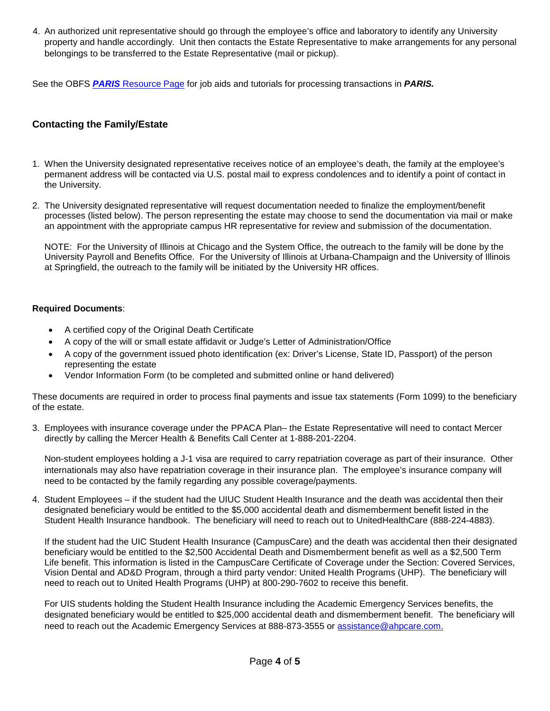4. An authorized unit representative should go through the employee's office and laboratory to identify any University property and handle accordingly. Unit then contacts the Estate Representative to make arrangements for any personal belongings to be transferred to the Estate Representative (mail or pickup).

See the OBFS *PARIS* [Resource Page](https://www.obfs.uillinois.edu/paris-resources/) for job aids and tutorials for processing transactions in *PARIS.*

#### **Contacting the Family/Estate**

- 1. When the University designated representative receives notice of an employee's death, the family at the employee's permanent address will be contacted via U.S. postal mail to express condolences and to identify a point of contact in the University.
- 2. The University designated representative will request documentation needed to finalize the employment/benefit processes (listed below). The person representing the estate may choose to send the documentation via mail or make an appointment with the appropriate campus HR representative for review and submission of the documentation.

NOTE: For the University of Illinois at Chicago and the System Office, the outreach to the family will be done by the University Payroll and Benefits Office. For the University of Illinois at Urbana-Champaign and the University of Illinois at Springfield, the outreach to the family will be initiated by the University HR offices.

#### **Required Documents**:

- A certified copy of the Original Death Certificate
- A copy of the will or small estate affidavit or Judge's Letter of Administration/Office
- A copy of the government issued photo identification (ex: Driver's License, State ID, Passport) of the person representing the estate
- Vendor Information Form (to be completed and submitted online or hand delivered)

These documents are required in order to process final payments and issue tax statements (Form 1099) to the beneficiary of the estate.

3. Employees with insurance coverage under the PPACA Plan– the Estate Representative will need to contact Mercer directly by calling the Mercer Health & Benefits Call Center at 1-888-201-2204.

Non-student employees holding a J-1 visa are required to carry repatriation coverage as part of their insurance. Other internationals may also have repatriation coverage in their insurance plan. The employee's insurance company will need to be contacted by the family regarding any possible coverage/payments.

4. Student Employees – if the student had the UIUC Student Health Insurance and the death was accidental then their designated beneficiary would be entitled to the \$5,000 accidental death and dismemberment benefit listed in the Student Health Insurance handbook. The beneficiary will need to reach out to UnitedHealthCare (888-224-4883).

If the student had the UIC Student Health Insurance (CampusCare) and the death was accidental then their designated beneficiary would be entitled to the \$2,500 Accidental Death and Dismemberment benefit as well as a \$2,500 Term Life benefit. This information is listed in the CampusCare Certificate of Coverage under the Section: Covered Services, Vision Dental and AD&D Program, through a third party vendor: United Health Programs (UHP). The beneficiary will need to reach out to United Health Programs (UHP) at 800-290-7602 to receive this benefit.

For UIS students holding the Student Health Insurance including the Academic Emergency Services benefits, the designated beneficiary would be entitled to \$25,000 accidental death and dismemberment benefit. The beneficiary will need to reach out the Academic Emergency Services at 888-873-3555 or [assistance@ahpcare.com.](mailto:assistance@ahpcare.com)